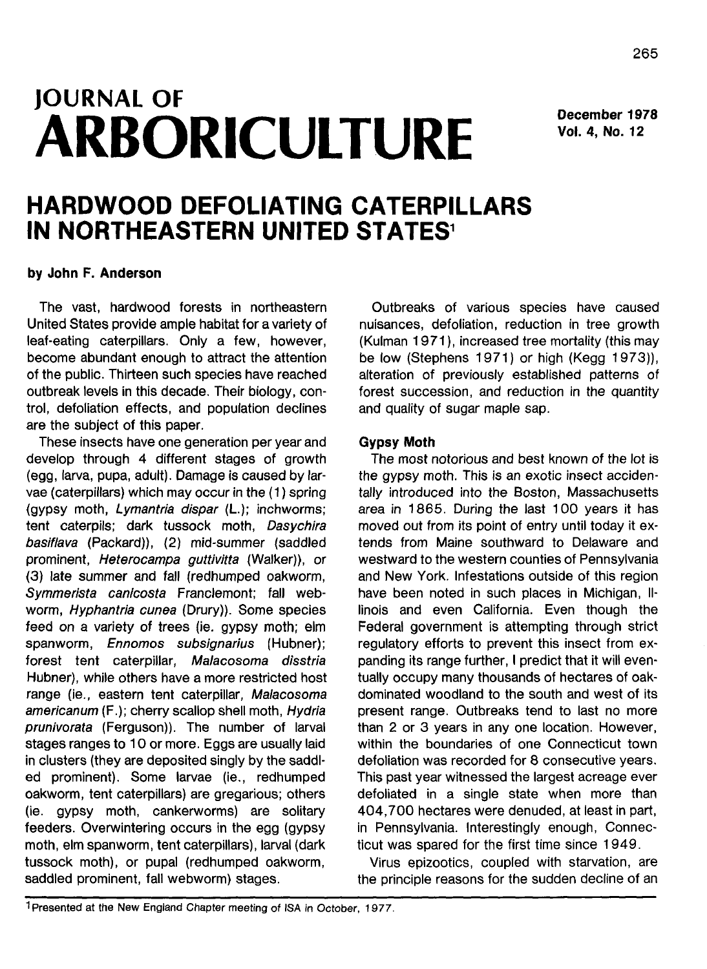# **JOURNAL OF ARBORICULTURE**

**December 1978 Vol.4, No. 12**

# **HARDWOOD DEFOLIATING CATERPILLARS IN NORTHEASTERN UNITED STATES<sup>1</sup>**

#### **by John F. Anderson**

The vast, hardwood forests in northeastern United States provide ample habitat for a variety of leaf-eating caterpillars. Only a few, however, become abundant enough to attract the attention of the public. Thirteen such species have reached outbreak levels in this decade. Their biology, control, defoliation effects, and population declines are the subject of this paper.

These insects have one generation per year and develop through 4 different stages of growth (egg, larva, pupa, adult). Damage is caused by larvae (caterpillars) which may occur in the (1) spring (gypsy moth, Lymantria dispar (L); inchworms; tent caterpils; dark tussock moth, Dasychira basiflava (Packard)), (2) mid-summer (saddled prominent, Heterocampa guttivitta (Walker)), or (3) late summer and fall (redhumped oakworm, Symmerista canicosta Franclemont; fall webworm, Hyphantria cunea (Drury)). Some species feed on a variety of trees (ie. gypsy moth; elm spanworm, Ennomos subsignarius (Hubner); forest tent caterpillar, Malacosoma disstria Hubner), while others have a more restricted host range (ie., eastern tent caterpillar, Malacosoma americanum (F.); cherry scallop shell moth, Hydria prunivorata (Ferguson)). The number of larval stages ranges to 10 or more. Eggs are usually laid in clusters (they are deposited singly by the saddled prominent). Some larvae (ie., redhumped oakworm, tent caterpillars) are gregarious; others (ie. gypsy moth, cankerworms) are solitary feeders. Overwintering occurs in the egg (gypsy moth, elm spanworm, tent caterpillars), larval (dark tussock moth), or pupal (redhumped oakworm, saddled prominent, fall webworm) stages.

Outbreaks of various species have caused nuisances, defoliation, reduction in tree growth (Kulman 1971), increased tree mortality (this may be low (Stephens 1971) or high (Kegg 1973)), alteration of previously established patterns of forest succession, and reduction in the quantity and quality of sugar maple sap.

#### **Gypsy Moth**

The most notorious and best known of the lot is the gypsy moth. This is an exotic insect accidentally introduced into the Boston, Massachusetts area in 1865. During the last 100 years it has moved out from its point of entry until today it extends from Maine southward to Delaware and westward to the western counties of Pennsylvania and New York. Infestations outside of this region have been noted in such places in Michigan, Illinois and even California. Even though the Federal government is attempting through strict regulatory efforts to prevent this insect from expanding its range further, I predict that it will eventually occupy many thousands of hectares of oakdominated woodland to the south and west of its present range. Outbreaks tend to last no more than 2 or 3 years in any one location. However, within the boundaries of one Connecticut town defoliation was recorded for 8 consecutive years. This past year witnessed the largest acreage ever defoliated in a single state when more than 404,700 hectares were denuded, at least in part, in Pennsylvania. Interestingly enough, Connecticut was spared for the first time since 1949.

Virus epizootics, coupled with starvation, are the principle reasons for the sudden decline of an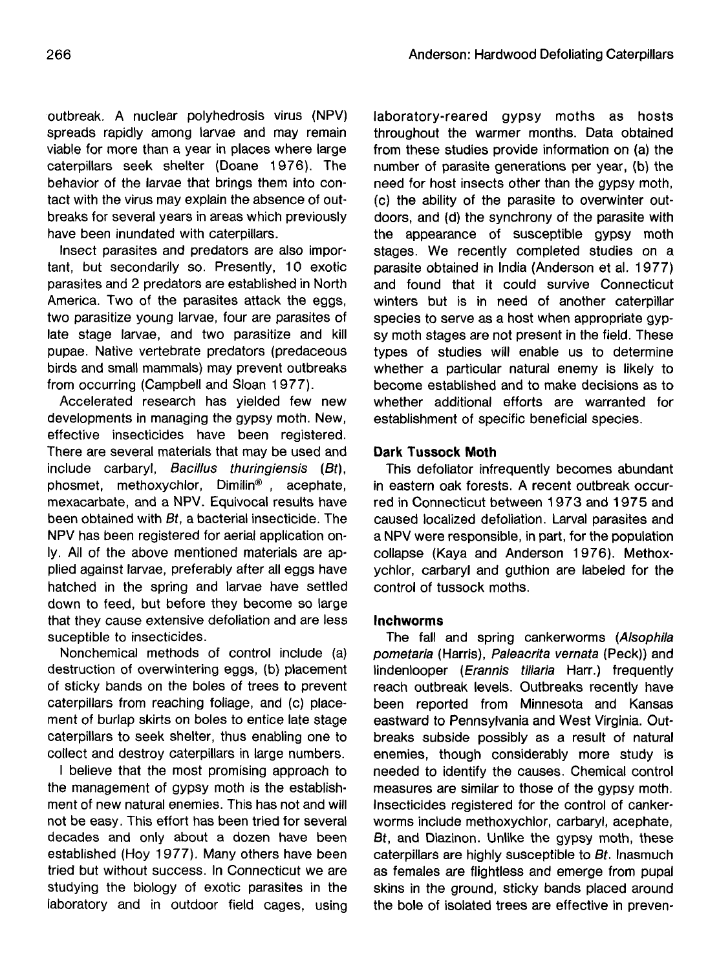outbreak. A nuclear polyhedrosis virus (NPV) spreads rapidly among larvae and may remain viable for more than a year in places where large caterpillars seek shelter (Doane 1976). The behavior of the larvae that brings them into contact with the virus may explain the absence of outbreaks for several years in areas which previously have been inundated with caterpillars.

Insect parasites and predators are also important, but secondarily so. Presently, 10 exotic parasites and 2 predators are established in North America. Two of the parasites attack the eggs, two parasitize young larvae, four are parasites of late stage larvae, and two parasitize and kill pupae. Native vertebrate predators (predaceous birds and small mammals) may prevent outbreaks from occurring (Campbell and Sloan 1977).

Accelerated research has yielded few new developments in managing the gypsy moth. New, effective insecticides have been registered. There are several materials that may be used and include carbaryl, Bacillus thuringiensis (Bt), phosmet, methoxychlor, Dimilin® , acephate, mexacarbate, and a NPV. Equivocal results have been obtained with Bt, a bacterial insecticide. The NPV has been registered for aerial application only. All of the above mentioned materials are applied against larvae, preferably after all eggs have hatched in the spring and larvae have settled down to feed, but before they become so large that they cause extensive defoliation and are less suceptible to insecticides.

Nonchemical methods of control include (a) destruction of overwintering eggs, (b) placement of sticky bands on the boles of trees to prevent caterpillars from reaching foliage, and (c) placement of burlap skirts on boles to entice late stage caterpillars to seek shelter, thus enabling one to collect and destroy caterpillars in large numbers.

I believe that the most promising approach to the management of gypsy moth is the establishment of new natural enemies. This has not and will not be easy. This effort has been tried for several decades and only about a dozen have been established (Hoy 1977). Many others have been tried but without success. In Connecticut we are studying the biology of exotic parasites in the laboratory and in outdoor field cages, using

laboratory-reared gypsy moths as hosts throughout the warmer months. Data obtained from these studies provide information on (a) the number of parasite generations per year, (b) the need for host insects other than the gypsy moth, (c) the ability of the parasite to overwinter outdoors, and (d) the synchrony of the parasite with the appearance of susceptible gypsy moth stages. We recently completed studies on a parasite obtained in India (Anderson et al. 1977) and found that it could survive Connecticut winters but is in need of another caterpillar species to serve as a host when appropriate gypsy moth stages are not present in the field. These types of studies will enable us to determine whether a particular natural enemy is likely to become established and to make decisions as to whether additional efforts are warranted for establishment of specific beneficial species.

# **Dark Tussock Moth**

This defoliator infrequently becomes abundant in eastern oak forests. A recent outbreak occurred in Connecticut between 1973 and 1975 and caused localized defoliation. Larval parasites and a NPV were responsible, in part, for the population collapse (Kaya and Anderson 1976). Methoxychlor, carbaryl and guthion are labeled for the control of tussock moths.

# **Inchworms**

The fall and spring cankerworms (Alsophila pometaria (Harris), Paleacrita vernata (Peck)) and lindenlooper (Erannis tiliaria Harr.) frequently reach outbreak levels. Outbreaks recently have been reported from Minnesota and Kansas eastward to Pennsylvania and West Virginia. Outbreaks subside possibly as a result of natural enemies, though considerably more study is needed to identify the causes. Chemical control measures are similar to those of the gypsy moth. Insecticides registered for the control of cankerworms include methoxychlor, carbaryl, acephate, Bt, and Diazinon. Unlike the gypsy moth, these caterpillars are highly susceptible to Bt. Inasmuch as females are flightless and emerge from pupal skins in the ground, sticky bands placed around the bole of isolated trees are effective in preven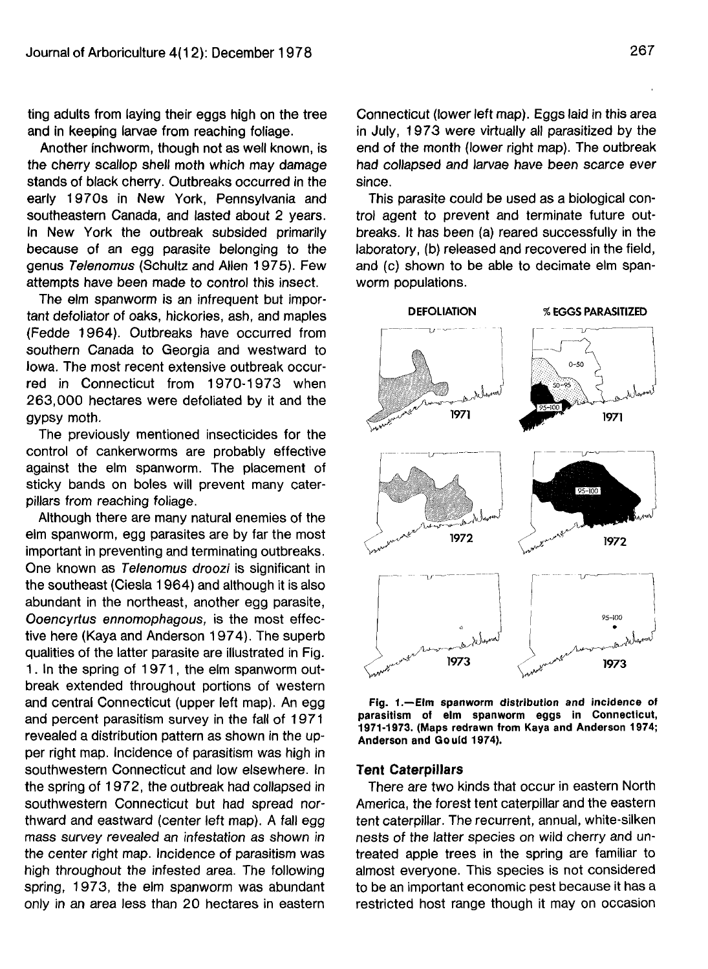ting adults from laying their eggs high on the tree and in keeping larvae from reaching foliage.

Another inchworm, though not as well known, is the cherry scallop shell moth which may damage stands of black cherry. Outbreaks occurred in the early 1970s in New York, Pennsylvania and southeastern Canada, and lasted about 2 years. In New York the outbreak subsided primarily because of an egg parasite belonging to the genus Telenomus (Schultz and Allen 1975). Few attempts have been made to control this insect.

The elm spanworm is an infrequent but important defoliator of oaks, hickories, ash, and maples (Fedde 1964). Outbreaks have occurred from southern Canada to Georgia and westward to Iowa. The most recent extensive outbreak occurred in Connecticut from 1970-1973 when 263,000 hectares were defoliated by it and the gypsy moth.

The previously mentioned insecticides for the control of cankerworms are probably effective against the elm spanworm. The placement of sticky bands on boles will prevent many caterpillars from reaching foliage.

Although there are many natural enemies of the elm spanworm, egg parasites are by far the most important in preventing and terminating outbreaks. One known as Telenomus droozi is significant in the southeast (Ciesla 1964) and although it is also abundant in the northeast, another egg parasite, Ooencyrtus ennomophagous, is the most effective here (Kaya and Anderson 1974). The superb qualities of the latter parasite are illustrated in Fig. 1. In the spring of 1971, the elm spanworm outbreak extended throughout portions of western and central Connecticut (upper left map). An egg and percent parasitism survey in the fall of 1971 revealed a distribution pattern as shown in the upper right map. Incidence of parasitism was high in southwestern Connecticut and low elsewhere. In the spring of 1972, the outbreak had collapsed in southwestern Connecticut but had spread northward and eastward (center left map). A fall egg mass survey revealed an infestation as shown in the center right map. Incidence of parasitism was high throughout the infested area. The following spring, 1973, the elm spanworm was abundant only in an area less than 20 hectares in eastern

Connecticut (lower left map). Eggs laid in this area in July, 1973 were virtually all parasitized by the end of the month (lower right map). The outbreak had collapsed and larvae have been scarce ever since.

This parasite could be used as a biological control agent to prevent and terminate future outbreaks. It has been (a) reared successfully in the laboratory, (b) released and recovered in the field, and (c) shown to be able to decimate elm spanworm populations.



**Fig. 1.—Elm spanworm distribution and incidence of parasitism of elm spanworm eggs in Connecticut, 1971-1973. (Maps redrawn from Kaya and Anderson 1974; Anderson and Gould 1974).**

#### **Tent Caterpillars**

There are two kinds that occur in eastern North America, the forest tent caterpillar and the eastern tent caterpillar. The recurrent, annual, white-silken nests of the latter species on wild cherry and untreated apple trees in the spring are familiar to almost everyone. This species is not considered to be an important economic pest because it has a restricted host range though it may on occasion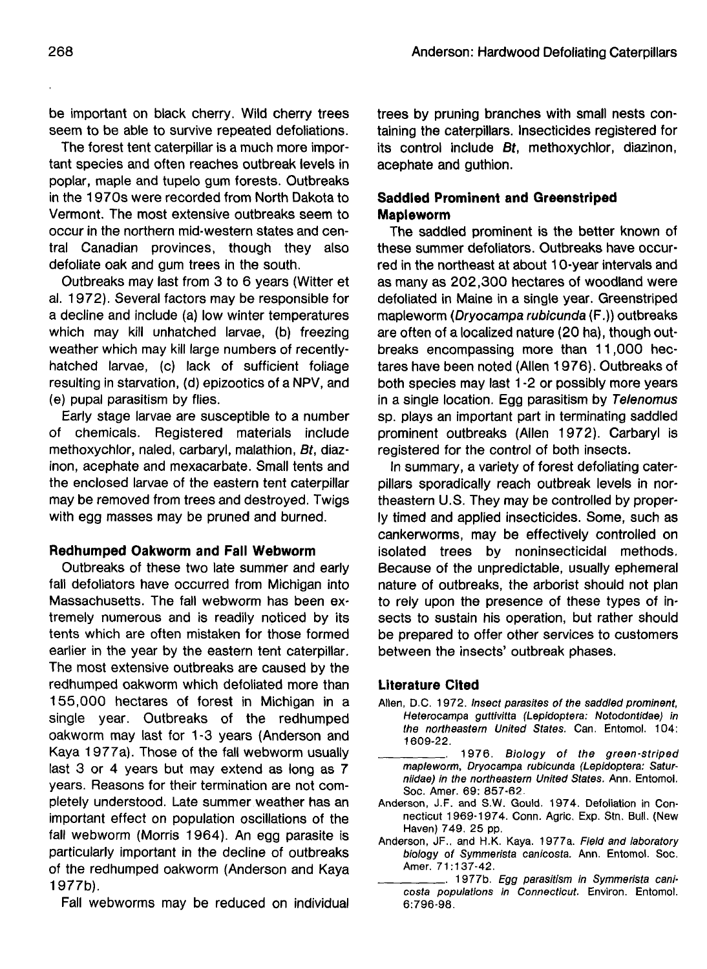be important on black cherry. Wild cherry trees seem to be able to survive repeated defoliations.

The forest tent caterpillar is a much more important species and often reaches outbreak levels in poplar, maple and tupelo gum forests. Outbreaks in the 1970s were recorded from North Dakota to Vermont. The most extensive outbreaks seem to occur in the northern mid-western states and central Canadian provinces, though they also defoliate oak and gum trees in the south.

Outbreaks may last from 3 to 6 years (Witter et al. 1972). Several factors may be responsible for a decline and include (a) low winter temperatures which may kill unhatched larvae, (b) freezing weather which may kill large numbers of recentlyhatched larvae, (c) lack of sufficient foliage resulting in starvation, (d) epizootics of a NPV, and (e) pupal parasitism by flies.

Early stage larvae are susceptible to a number of chemicals. Registered materials include methoxychlor, naled, carbaryl, malathion, Bt, diazinon, acephate and mexacarbate. Small tents and the enclosed larvae of the eastern tent caterpillar may be removed from trees and destroyed. Twigs with egg masses may be pruned and burned.

# **Redhumped Oakworm and Fall Webworm**

Outbreaks of these two late summer and early fall defoliators have occurred from Michigan into Massachusetts. The fall webworm has been extremely numerous and is readily noticed by its tents which are often mistaken for those formed earlier in the year by the eastern tent caterpillar. The most extensive outbreaks are caused by the redhumped oakworm which defoliated more than 155,000 hectares of forest in Michigan in a single year. Outbreaks of the redhumped oakworm may last for 1-3 years (Anderson and Kaya 1977a). Those of the fall webworm usually last 3 or 4 years but may extend as long as 7 years. Reasons for their termination are not completely understood. Late summer weather has an important effect on population oscillations of the fall webworm (Morris 1964). An egg parasite is particularly important in the decline of outbreaks of the redhumped oakworm (Anderson and Kaya 1977b).

Fall webworms may be reduced on individual

trees by pruning branches with small nests containing the caterpillars. Insecticides registered for its control include Bt, methoxychlor, diazinon, acephate and guthion.

# **Saddled Prominent and Greenstriped Mapleworm**

The saddled prominent is the better known of these summer defoliators. Outbreaks have occurred in the northeast at about 10-year intervals and as many as 202,300 hectares of woodland were defoliated in Maine in a single year. Greenstriped mapleworm {Dryocampa rubicunda (F.)) outbreaks are often of a localized nature (20 ha), though outbreaks encompassing more than 11,000 hectares have been noted (Allen 1976). Outbreaks of both species may last 1 -2 or possibly more years in a single location. Egg parasitism by Telenomus sp. plays an important part in terminating saddled prominent outbreaks (Allen 1972). Carbaryl is registered for the control of both insects.

In summary, a variety of forest defoliating caterpillars sporadically reach outbreak levels in northeastern U.S. They may be controlled by properly timed and applied insecticides. Some, such as cankerworms, may be effectively controlled on isolated trees by noninsecticidal methods. Because of the unpredictable, usually ephemeral nature of outbreaks, the arborist should not plan to rely upon the presence of these types of insects to sustain his operation, but rather should be prepared to offer other services to customers between the insects' outbreak phases.

#### **Literature Cited**

- Allen, D.C. 1972. Insect parasites of the saddled prominent, Heferocampa guttivitta (Lepidoptera: Notodontidae) in the northeastern United States. Can. Entomol. 104: 1609-22.
- 1976. Biology of the green-striped mapleworm, Dryocampa rubicunda (Lepidoptera: Saturniidae) in the northeastern United States. Ann. Entomol. Soc. Amer. 69: 857-62.
- Anderson, J.F. and S.W. Gould. 1974. Defoliation in Connecticut 1969-1974. Conn. Agric. Exp. Stn. Bull. (New Haven) 749. 25 pp.
- Anderson, JF.. and H.K. Kaya. 1977a. Field and laboratory biology of Symmerista canicosta. Ann. Entomol. Soc. Amer. 71:137-42.
- 1977b. Egg parasitism in Symmerista canicosta populations in Connecticut. Environ. Entomol. 6:796-98.